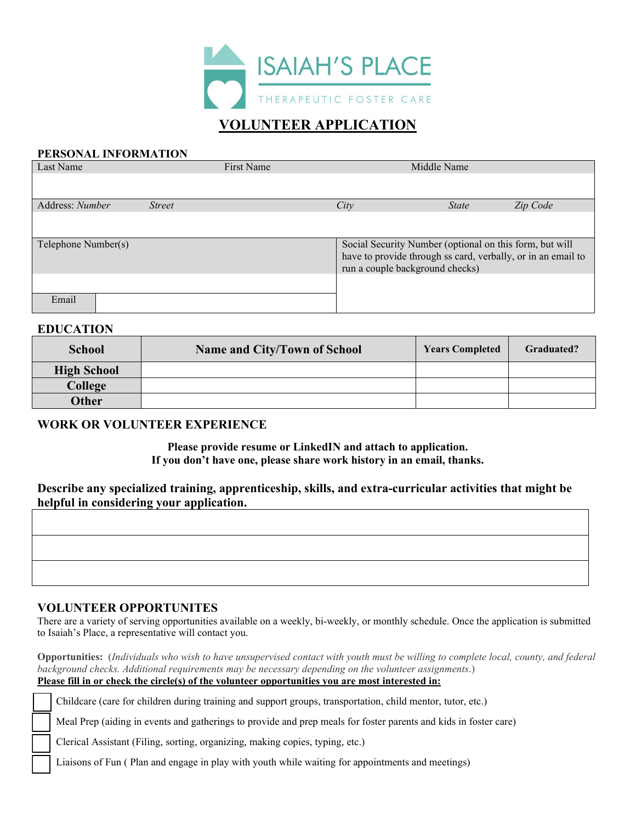

# **VOLUNTEER APPLICATION**

#### **PERSONAL INFORMATION**

| Last Name                        | First Name |      | Middle Name                                                                                     |          |
|----------------------------------|------------|------|-------------------------------------------------------------------------------------------------|----------|
|                                  |            |      |                                                                                                 |          |
| Address: Number<br><i>Street</i> |            | City | <b>State</b>                                                                                    | Zip Code |
|                                  |            |      |                                                                                                 |          |
| Telephone Number(s)              |            |      | Social Security Number (optional on this form, but will                                         |          |
|                                  |            |      | have to provide through ss card, verbally, or in an email to<br>run a couple background checks) |          |
|                                  |            |      |                                                                                                 |          |
| Email                            |            |      |                                                                                                 |          |

### **EDUCATION**

| <b>School</b>      | Name and City/Town of School | <b>Years Completed</b> | Graduated? |
|--------------------|------------------------------|------------------------|------------|
| <b>High School</b> |                              |                        |            |
| College            |                              |                        |            |
| Other              |                              |                        |            |

#### **WORK OR VOLUNTEER EXPERIENCE**

**Please provide resume or LinkedIN and attach to application. If you don't have one, please share work history in an email, thanks.** 

## **Describe any specialized training, apprenticeship, skills, and extra-curricular activities that might be helpful in considering your application.**

| ີ |  |  |
|---|--|--|
|   |  |  |
|   |  |  |
|   |  |  |
|   |  |  |
|   |  |  |
|   |  |  |
|   |  |  |
|   |  |  |
|   |  |  |
|   |  |  |
|   |  |  |
|   |  |  |
|   |  |  |
|   |  |  |
|   |  |  |
|   |  |  |
|   |  |  |
|   |  |  |
|   |  |  |
|   |  |  |

#### **VOLUNTEER OPPORTUNITES**

There are a variety of serving opportunities available on a weekly, bi-weekly, or monthly schedule. Once the application is submitted to Isaiah's Place, a representative will contact you.

**Opportunities:** (*Individuals who wish to have unsupervised contact with youth must be willing to complete local, county, and federal background checks. Additional requirements may be necessary depending on the volunteer assignments*.) **Please fill in or check the circle(s) of the volunteer opportunities you are most interested in:**

Childcare (care for children during training and support groups, transportation, child mentor, tutor, etc.)

Meal Prep (aiding in events and gatherings to provide and prep meals for foster parents and kids in foster care)

Clerical Assistant (Filing, sorting, organizing, making copies, typing, etc.)

Liaisons of Fun ( Plan and engage in play with youth while waiting for appointments and meetings)